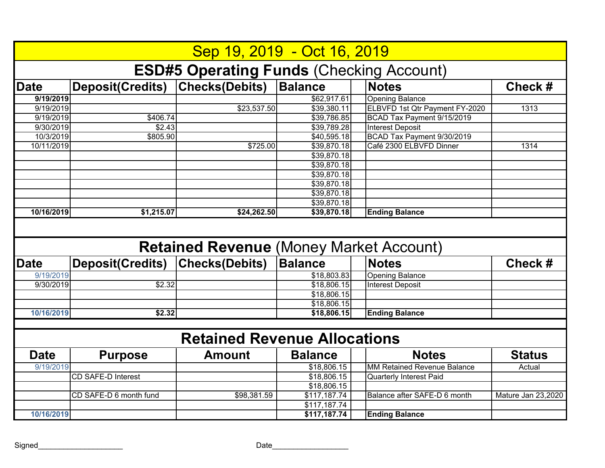|             |                           | Sep 19, 2019 - Oct 16, 2019                     |                |                                    |                    |
|-------------|---------------------------|-------------------------------------------------|----------------|------------------------------------|--------------------|
|             |                           | <b>ESD#5 Operating Funds (Checking Account)</b> |                |                                    |                    |
| <b>Date</b> | <b>Deposit(Credits)</b>   | <b>Checks(Debits)</b>                           | <b>Balance</b> | <b>Notes</b>                       | Check#             |
| 9/19/2019   |                           |                                                 | \$62,917.61    | <b>Opening Balance</b>             |                    |
| 9/19/2019   |                           | \$23,537.50                                     | \$39,380.11    | ELBVFD 1st Qtr Payment FY-2020     | 1313               |
| 9/19/2019   | \$406.74                  |                                                 | \$39,786.85    | BCAD Tax Payment 9/15/2019         |                    |
| 9/30/2019   | \$2.43                    |                                                 | \$39,789.28    | <b>Interest Deposit</b>            |                    |
| 10/3/2019   | \$805.90                  |                                                 | \$40,595.18    | BCAD Tax Payment 9/30/2019         |                    |
| 10/11/2019  |                           | \$725.00                                        | \$39,870.18    | Café 2300 ELBVFD Dinner            | 1314               |
|             |                           |                                                 | \$39,870.18    |                                    |                    |
|             |                           |                                                 | \$39,870.18    |                                    |                    |
|             |                           |                                                 | \$39,870.18    |                                    |                    |
|             |                           |                                                 | \$39,870.18    |                                    |                    |
|             |                           |                                                 | \$39,870.18    |                                    |                    |
|             |                           |                                                 | \$39,870.18    |                                    |                    |
| 10/16/2019  | \$1,215.07                | \$24,262.50                                     | \$39,870.18    | <b>Ending Balance</b>              |                    |
|             |                           |                                                 |                |                                    |                    |
|             |                           | <b>Retained Revenue (Money Market Account)</b>  |                |                                    |                    |
| <b>Date</b> | <b>Deposit(Credits)</b>   | <b>Checks(Debits)</b>                           | <b>Balance</b> | <b>Notes</b>                       | Check #            |
| 9/19/2019   |                           |                                                 | \$18,803.83    | <b>Opening Balance</b>             |                    |
| 9/30/2019   | \$2.32                    |                                                 | \$18,806.15    | <b>Interest Deposit</b>            |                    |
|             |                           |                                                 | \$18,806.15    |                                    |                    |
|             |                           |                                                 | \$18,806.15    |                                    |                    |
| 10/16/2019  | \$2.32                    |                                                 | \$18,806.15    | <b>Ending Balance</b>              |                    |
|             |                           |                                                 |                |                                    |                    |
|             |                           | <b>Retained Revenue Allocations</b>             |                |                                    |                    |
| <b>Date</b> | <b>Purpose</b>            | <b>Amount</b>                                   | <b>Balance</b> | <b>Notes</b>                       | <b>Status</b>      |
| 9/19/2019   |                           |                                                 | \$18,806.15    | <b>MM Retained Revenue Balance</b> | Actual             |
|             | <b>CD SAFE-D Interest</b> |                                                 | \$18,806.15    | <b>Quarterly Interest Paid</b>     |                    |
|             |                           |                                                 | \$18,806.15    |                                    |                    |
|             | CD SAFE-D 6 month fund    | \$98,381.59                                     | \$117,187.74   | Balance after SAFE-D 6 month       | Mature Jan 23,2020 |
| 10/16/2019  |                           |                                                 | \$117,187.74   | <b>Ending Balance</b>              |                    |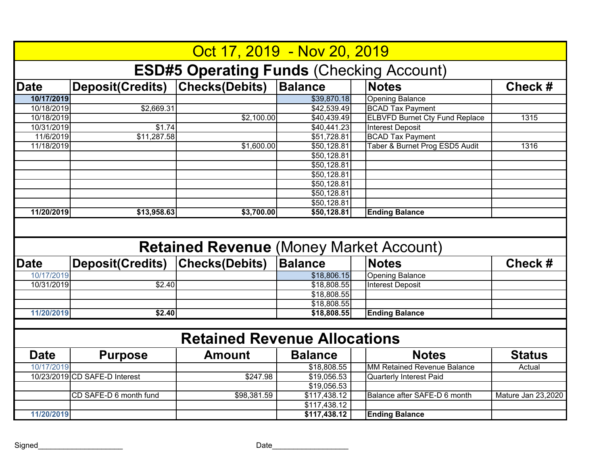|             |                                 | Oct 17, 2019 - Nov 20, 2019                     |                         |                                       |                    |
|-------------|---------------------------------|-------------------------------------------------|-------------------------|---------------------------------------|--------------------|
|             |                                 | <b>ESD#5 Operating Funds (Checking Account)</b> |                         |                                       |                    |
| <b>Date</b> | Deposit(Credits)                | <b>Checks(Debits)</b>                           | <b>Balance</b>          | <b>Notes</b>                          | Check#             |
| 10/17/2019  |                                 |                                                 | \$39,870.18             | <b>Opening Balance</b>                |                    |
| 10/18/2019  | \$2,669.31                      |                                                 | \$42,539.49             | <b>BCAD Tax Payment</b>               |                    |
| 10/18/2019  |                                 | \$2,100.00                                      | \$40,439.49             | <b>ELBVFD Burnet Cty Fund Replace</b> | 1315               |
| 10/31/2019  | \$1.74                          |                                                 | \$40,441.23             | <b>Interest Deposit</b>               |                    |
| 11/6/2019   | \$11,287.58                     |                                                 | \$51,728.81             | <b>BCAD Tax Payment</b>               |                    |
| 11/18/2019  |                                 | \$1,600.00                                      | \$50,128.81             | Taber & Burnet Prog ESD5 Audit        | 1316               |
|             |                                 |                                                 | \$50,128.81             |                                       |                    |
|             |                                 |                                                 | \$50,128.81             |                                       |                    |
|             |                                 |                                                 | \$50,128.81             |                                       |                    |
|             |                                 |                                                 | \$50,128.81             |                                       |                    |
|             |                                 |                                                 | $\overline{$50,128.81}$ |                                       |                    |
|             |                                 |                                                 | \$50,128.81             |                                       |                    |
| 11/20/2019  | \$13,958.63                     | \$3,700.00                                      | \$50,128.81             | <b>Ending Balance</b>                 |                    |
|             |                                 |                                                 |                         |                                       |                    |
|             |                                 | <b>Retained Revenue (Money Market Account)</b>  |                         |                                       |                    |
| <b>Date</b> | Deposit(Credits) Checks(Debits) |                                                 | <b>Balance</b>          | <b>Notes</b>                          | Check#             |
| 10/17/2019  |                                 |                                                 | \$18,806.15             | <b>Opening Balance</b>                |                    |
| 10/31/2019  | \$2.40                          |                                                 | \$18,808.55             | <b>Interest Deposit</b>               |                    |
|             |                                 |                                                 | \$18,808.55             |                                       |                    |
|             |                                 |                                                 | \$18,808.55             |                                       |                    |
| 11/20/2019  | \$2.40                          |                                                 | \$18,808.55             | <b>Ending Balance</b>                 |                    |
|             |                                 |                                                 |                         |                                       |                    |
|             |                                 | <b>Retained Revenue Allocations</b>             |                         |                                       |                    |
| <b>Date</b> | <b>Purpose</b>                  | <b>Amount</b>                                   | <b>Balance</b>          | <b>Notes</b>                          | <b>Status</b>      |
| 10/17/2019  |                                 |                                                 | \$18,808.55             | <b>MM Retained Revenue Balance</b>    | Actual             |
|             | 10/23/2019 CD SAFE-D Interest   | \$247.98                                        | \$19,056.53             | <b>Quarterly Interest Paid</b>        |                    |
|             |                                 |                                                 | \$19,056.53             |                                       |                    |
|             | CD SAFE-D 6 month fund          | \$98,381.59                                     | \$117,438.12            | Balance after SAFE-D 6 month          | Mature Jan 23,2020 |
| 11/20/2019  |                                 |                                                 | \$117,438.12            | <b>Ending Balance</b>                 |                    |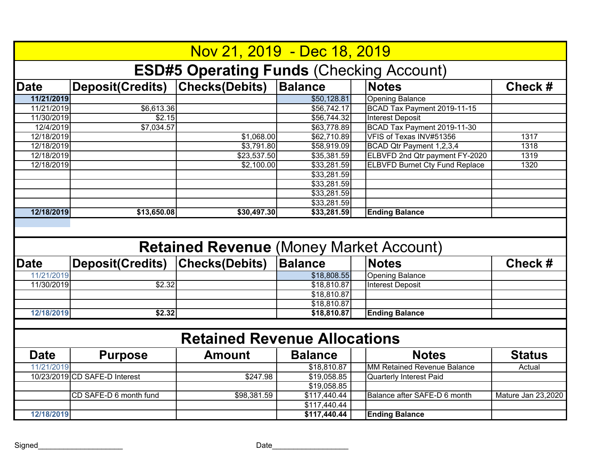|             |                               | Nov 21, 2019 - Dec 18, 2019                     |                              |                                       |                    |
|-------------|-------------------------------|-------------------------------------------------|------------------------------|---------------------------------------|--------------------|
|             |                               | <b>ESD#5 Operating Funds (Checking Account)</b> |                              |                                       |                    |
| <b>Date</b> | <b>Deposit(Credits)</b>       | <b>Checks(Debits)</b>                           | <b>Balance</b>               | <b>Notes</b>                          | Check #            |
| 11/21/2019  |                               |                                                 | \$50,128.81                  | <b>Opening Balance</b>                |                    |
| 11/21/2019  | \$6,613.36                    |                                                 | \$56,742.17                  | BCAD Tax Payment 2019-11-15           |                    |
| 11/30/2019  | \$2.15                        |                                                 | \$56,744.32                  | <b>Interest Deposit</b>               |                    |
| 12/4/2019   | \$7,034.57                    |                                                 | \$63,778.89                  | BCAD Tax Payment 2019-11-30           |                    |
| 12/18/2019  |                               | \$1,068.00                                      | \$62,710.89                  | VFIS of Texas INV#51356               | 1317               |
| 12/18/2019  |                               | \$3,791.80                                      | \$58,919.09                  | BCAD Qtr Payment 1,2,3,4              | 1318               |
| 12/18/2019  |                               | \$23,537.50                                     | \$35,381.59                  | ELBVFD 2nd Qtr payment FY-2020        | 1319               |
| 12/18/2019  |                               | \$2,100.00                                      | \$33,281.59                  | <b>ELBVFD Burnet Cty Fund Replace</b> | 1320               |
|             |                               |                                                 | \$33,281.59                  |                                       |                    |
|             |                               |                                                 | \$33,281.59                  |                                       |                    |
|             |                               |                                                 | \$33,281.59                  |                                       |                    |
|             |                               |                                                 | \$33,281.59                  |                                       |                    |
| 12/18/2019  | \$13,650.08                   | \$30,497.30                                     | \$33,281.59                  | <b>Ending Balance</b>                 |                    |
|             |                               |                                                 |                              |                                       |                    |
|             |                               | <b>Retained Revenue (Money Market Account)</b>  |                              |                                       |                    |
| <b>Date</b> | <b>Deposit(Credits)</b>       | <b>Checks(Debits)</b>                           | <b>Balance</b>               | <b>Notes</b>                          | Check#             |
| 11/21/2019  |                               |                                                 | \$18,808.55                  | <b>Opening Balance</b>                |                    |
| 11/30/2019  | \$2.32                        |                                                 | \$18,810.87                  | <b>Interest Deposit</b>               |                    |
|             |                               |                                                 | \$18,810.87                  |                                       |                    |
|             |                               |                                                 | \$18,810.87                  |                                       |                    |
| 12/18/2019  | \$2.32                        |                                                 | \$18,810.87                  | <b>Ending Balance</b>                 |                    |
|             |                               |                                                 |                              |                                       |                    |
|             |                               | <b>Retained Revenue Allocations</b>             |                              |                                       |                    |
| <b>Date</b> | <b>Purpose</b>                | <b>Amount</b>                                   | <b>Balance</b>               | <b>Notes</b>                          | <b>Status</b>      |
| 11/21/2019  |                               |                                                 | \$18,810.87                  | <b>MM Retained Revenue Balance</b>    | Actual             |
|             | 10/23/2019 CD SAFE-D Interest | \$247.98                                        | \$19,058.85                  | <b>Quarterly Interest Paid</b>        |                    |
|             |                               |                                                 | \$19,058.85                  |                                       |                    |
|             | CD SAFE-D 6 month fund        | \$98,381.59                                     | \$117,440.44                 | Balance after SAFE-D 6 month          | Mature Jan 23,2020 |
| 12/18/2019  |                               |                                                 | \$117,440.44<br>\$117,440.44 | <b>Ending Balance</b>                 |                    |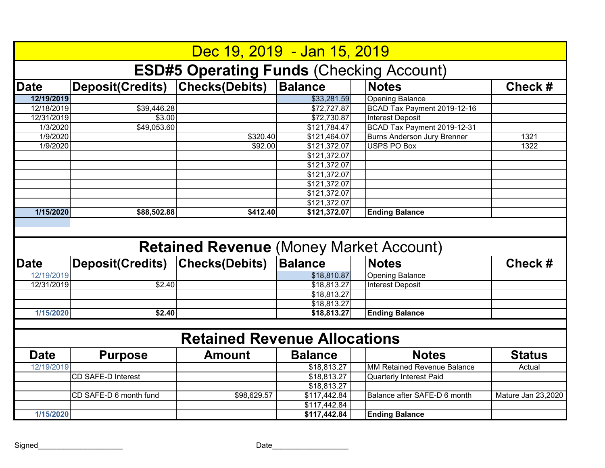|             |                                 | Dec 19, 2019 - Jan 15, 2019                     |                |                                    |                    |
|-------------|---------------------------------|-------------------------------------------------|----------------|------------------------------------|--------------------|
|             |                                 | <b>ESD#5 Operating Funds (Checking Account)</b> |                |                                    |                    |
| <b>Date</b> | Deposit(Credits)                | <b>Checks(Debits)</b>                           | <b>Balance</b> | <b>Notes</b>                       | Check#             |
| 12/19/2019  |                                 |                                                 | \$33,281.59    | <b>Opening Balance</b>             |                    |
| 12/18/2019  | $\sqrt{$39,446.28}$             |                                                 | \$72,727.87    | BCAD Tax Payment 2019-12-16        |                    |
| 12/31/2019  | \$3.00                          |                                                 | \$72,730.87    | <b>Interest Deposit</b>            |                    |
| 1/3/2020    | \$49,053.60                     |                                                 | \$121,784.47   | BCAD Tax Payment 2019-12-31        |                    |
| 1/9/2020    |                                 | \$320.40                                        | \$121,464.07   | <b>Burns Anderson Jury Brenner</b> | 1321               |
| 1/9/2020    |                                 | \$92.00                                         | \$121,372.07   | <b>USPS PO Box</b>                 | 1322               |
|             |                                 |                                                 | \$121,372.07   |                                    |                    |
|             |                                 |                                                 | \$121,372.07   |                                    |                    |
|             |                                 |                                                 | \$121,372.07   |                                    |                    |
|             |                                 |                                                 | \$121,372.07   |                                    |                    |
|             |                                 |                                                 | \$121,372.07   |                                    |                    |
|             |                                 |                                                 | \$121,372.07   |                                    |                    |
| 1/15/2020   | \$88,502.88                     | \$412.40                                        | \$121,372.07   | <b>Ending Balance</b>              |                    |
|             |                                 |                                                 |                |                                    |                    |
|             |                                 | <b>Retained Revenue (Money Market Account)</b>  |                |                                    |                    |
| <b>Date</b> | Deposit(Credits) Checks(Debits) |                                                 | <b>Balance</b> | <b>Notes</b>                       | Check #            |
| 12/19/2019  |                                 |                                                 | \$18,810.87    | <b>Opening Balance</b>             |                    |
| 12/31/2019  | \$2.40                          |                                                 | \$18,813.27    | <b>Interest Deposit</b>            |                    |
|             |                                 |                                                 | \$18,813.27    |                                    |                    |
|             |                                 |                                                 | \$18,813.27    |                                    |                    |
| 1/15/2020   | \$2.40                          |                                                 | \$18,813.27    | <b>Ending Balance</b>              |                    |
|             |                                 |                                                 |                |                                    |                    |
|             |                                 | <b>Retained Revenue Allocations</b>             |                |                                    |                    |
| <b>Date</b> | <b>Purpose</b>                  | <b>Amount</b>                                   | <b>Balance</b> | <b>Notes</b>                       | <b>Status</b>      |
| 12/19/2019  |                                 |                                                 | \$18,813.27    | <b>MM Retained Revenue Balance</b> | Actual             |
|             | <b>CD SAFE-D Interest</b>       |                                                 | \$18,813.27    | <b>Quarterly Interest Paid</b>     |                    |
|             |                                 |                                                 | \$18,813.27    |                                    |                    |
|             | CD SAFE-D 6 month fund          | \$98,629.57                                     | \$117,442.84   | Balance after SAFE-D 6 month       | Mature Jan 23,2020 |
| 1/15/2020   |                                 |                                                 | \$117,442.84   | <b>Ending Balance</b>              |                    |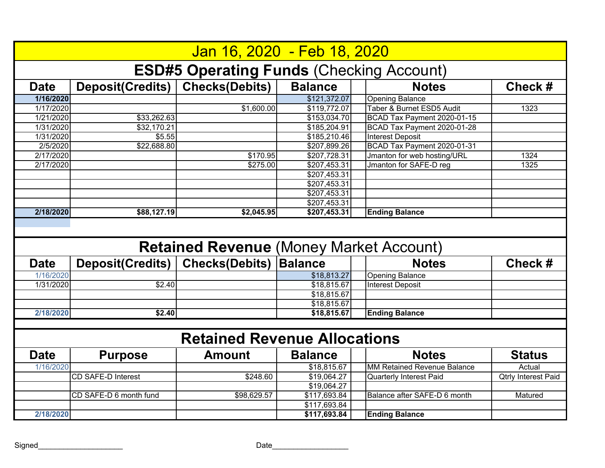|             |                           | Jan 16, 2020 - Feb 18, 2020                     |                              |                                    |                            |
|-------------|---------------------------|-------------------------------------------------|------------------------------|------------------------------------|----------------------------|
|             |                           | <b>ESD#5 Operating Funds (Checking Account)</b> |                              |                                    |                            |
| <b>Date</b> | <b>Deposit(Credits)</b>   | <b>Checks(Debits)</b>                           | <b>Balance</b>               | <b>Notes</b>                       | Check #                    |
| 1/16/2020   |                           |                                                 | \$121,372.07                 | <b>Opening Balance</b>             |                            |
| 1/17/2020   |                           | \$1,600.00                                      | \$119,772.07                 | Taber & Burnet ESD5 Audit          | 1323                       |
| 1/21/2020   | \$33,262.63               |                                                 | \$153,034.70                 | BCAD Tax Payment 2020-01-15        |                            |
| 1/31/2020   | \$32,170.21               |                                                 | \$185,204.91                 | BCAD Tax Payment 2020-01-28        |                            |
| 1/31/2020   | \$5.55                    |                                                 | \$185,210.46                 | <b>Interest Deposit</b>            |                            |
| 2/5/2020    | \$22,688.80               |                                                 | \$207,899.26                 | BCAD Tax Payment 2020-01-31        |                            |
| 2/17/2020   |                           | \$170.95                                        | \$207,728.31                 | Jmanton for web hosting/URL        | 1324                       |
| 2/17/2020   |                           | \$275.00                                        | \$207,453.31                 | Jmanton for SAFE-D reg             | 1325                       |
|             |                           |                                                 | \$207,453.31                 |                                    |                            |
|             |                           |                                                 | \$207,453.31                 |                                    |                            |
|             |                           |                                                 | \$207,453.31                 |                                    |                            |
|             |                           |                                                 | \$207,453.31                 |                                    |                            |
| 2/18/2020   | \$88,127.19               | \$2,045.95                                      | \$207,453.31                 | <b>Ending Balance</b>              |                            |
|             |                           | <b>Retained Revenue (Money Market Account)</b>  |                              |                                    |                            |
|             |                           |                                                 |                              |                                    |                            |
| <b>Date</b> | <b>Deposit(Credits)</b>   | <b>Checks(Debits)</b>                           | <b>Balance</b>               | <b>Notes</b>                       | Check #                    |
| 1/16/2020   |                           |                                                 | \$18,813.27                  | <b>Opening Balance</b>             |                            |
| 1/31/2020   | \$2.40                    |                                                 | \$18,815.67                  | <b>Interest Deposit</b>            |                            |
|             |                           |                                                 | \$18,815.67                  |                                    |                            |
|             |                           |                                                 | \$18,815.67                  |                                    |                            |
| 2/18/2020   | \$2.40                    |                                                 | \$18,815.67                  | <b>Ending Balance</b>              |                            |
|             |                           |                                                 |                              |                                    |                            |
|             |                           | <b>Retained Revenue Allocations</b>             |                              |                                    |                            |
| <b>Date</b> | <b>Purpose</b>            | <b>Amount</b>                                   | <b>Balance</b>               | <b>Notes</b>                       | <b>Status</b>              |
| 1/16/2020   |                           |                                                 | \$18,815.67                  | <b>MM Retained Revenue Balance</b> | Actual                     |
|             | <b>CD SAFE-D Interest</b> | \$248.60                                        | \$19,064.27                  | <b>Quarterly Interest Paid</b>     | <b>Qtrly Interest Paid</b> |
|             |                           |                                                 | \$19,064.27                  |                                    |                            |
|             | CD SAFE-D 6 month fund    | \$98,629.57                                     | \$117,693.84                 | Balance after SAFE-D 6 month       | Matured                    |
| 2/18/2020   |                           |                                                 | \$117,693.84<br>\$117,693.84 | <b>Ending Balance</b>              |                            |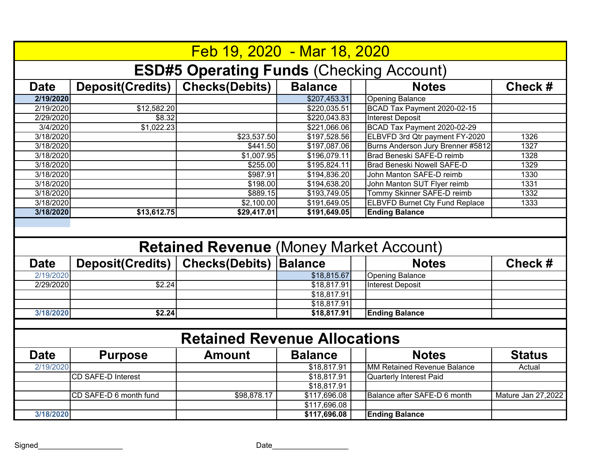|             |                           | Feb 19, 2020 - Mar 18, 2020                     |                         |                                       |                    |
|-------------|---------------------------|-------------------------------------------------|-------------------------|---------------------------------------|--------------------|
|             |                           | <b>ESD#5 Operating Funds (Checking Account)</b> |                         |                                       |                    |
| <b>Date</b> | Deposit(Credits)          | <b>Checks(Debits)</b>                           | <b>Balance</b>          | <b>Notes</b>                          | Check#             |
| 2/19/2020   |                           |                                                 | \$207,453.31            | <b>Opening Balance</b>                |                    |
| 2/19/2020   | \$12,582.20               |                                                 | \$220,035.51            | BCAD Tax Payment 2020-02-15           |                    |
| 2/29/2020   | \$8.32                    |                                                 | \$220,043.83            | <b>Interest Deposit</b>               |                    |
| 3/4/2020    | \$1,022.23                |                                                 | \$221,066.06            | BCAD Tax Payment 2020-02-29           |                    |
| 3/18/2020   |                           | \$23,537.50                                     | \$197,528.56            | ELBVFD 3rd Qtr payment FY-2020        | 1326               |
| 3/18/2020   |                           | \$441.50                                        | \$197,087.06            | Burns Anderson Jury Brenner #5812     | 1327               |
| 3/18/2020   |                           | \$1,007.95                                      | \$196,079.11            | Brad Beneski SAFE-D reimb             | 1328               |
| 3/18/2020   |                           | \$255.00                                        | \$195,824.11            | <b>Brad Beneski Nowell SAFE-D</b>     | 1329               |
| 3/18/2020   |                           | \$987.91                                        | \$194,836.20            | John Manton SAFE-D reimb              | 1330               |
| 3/18/2020   |                           | \$198.00                                        | \$194,638.20            | John Manton SUT Flyer reimb           | 1331               |
| 3/18/2020   |                           | \$889.15                                        | \$193,749.05            | Tommy Skinner SAFE-D reimb            | 1332               |
| 3/18/2020   |                           | \$2,100.00                                      | \$191,649.05            | <b>ELBVFD Burnet Cty Fund Replace</b> | 1333               |
| 3/18/2020   | \$13,612.75               | \$29,417.01                                     | \$191,649.05            | <b>Ending Balance</b>                 |                    |
|             |                           | <b>Retained Revenue (Money Market Account)</b>  |                         |                                       |                    |
|             |                           |                                                 |                         |                                       |                    |
| <b>Date</b> | <b>Deposit(Credits)</b>   | <b>Checks(Debits)</b>                           | <b>Balance</b>          | <b>Notes</b>                          | Check#             |
| 2/19/2020   |                           |                                                 | \$18,815.67             | <b>Opening Balance</b>                |                    |
| 2/29/2020   | \$2.24                    |                                                 | $\overline{$}18,817.91$ | <b>Interest Deposit</b>               |                    |
|             |                           |                                                 | \$18,817.91             |                                       |                    |
|             |                           |                                                 | \$18,817.91             |                                       |                    |
| 3/18/2020   | \$2.24                    |                                                 | \$18,817.91             | <b>Ending Balance</b>                 |                    |
|             |                           |                                                 |                         |                                       |                    |
|             |                           | <b>Retained Revenue Allocations</b>             |                         |                                       |                    |
| <b>Date</b> | <b>Purpose</b>            | <b>Amount</b>                                   | <b>Balance</b>          | <b>Notes</b>                          | <b>Status</b>      |
| 2/19/2020   |                           |                                                 | \$18,817.91             | <b>MM Retained Revenue Balance</b>    | Actual             |
|             | <b>CD SAFE-D Interest</b> |                                                 | \$18,817.91             | <b>Quarterly Interest Paid</b>        |                    |
|             |                           |                                                 | \$18,817.91             |                                       |                    |
|             | CD SAFE-D 6 month fund    | \$98,878.17                                     | \$117,696.08            | Balance after SAFE-D 6 month          |                    |
| 3/18/2020   |                           |                                                 | \$117,696.08            | <b>Ending Balance</b>                 | Mature Jan 27,2022 |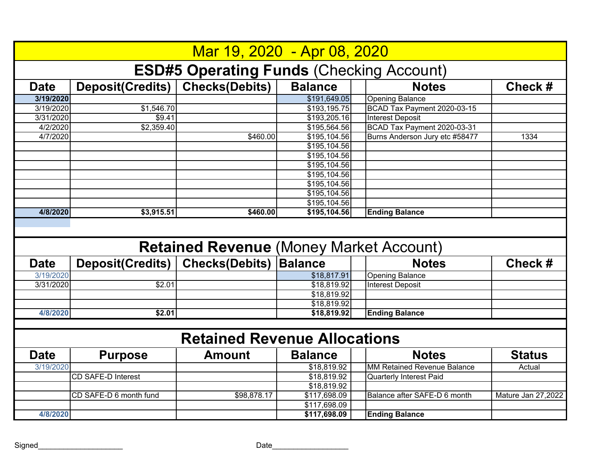|             |                           | Mar 19, 2020 - Apr 08, 2020                     |                |                                    |                    |
|-------------|---------------------------|-------------------------------------------------|----------------|------------------------------------|--------------------|
|             |                           | <b>ESD#5 Operating Funds (Checking Account)</b> |                |                                    |                    |
| <b>Date</b> | Deposit(Credits)          | <b>Checks(Debits)</b>                           | <b>Balance</b> | <b>Notes</b>                       | Check#             |
| 3/19/2020   |                           |                                                 | \$191,649.05   | <b>Opening Balance</b>             |                    |
| 3/19/2020   | \$1,546.70                |                                                 | \$193,195.75   | BCAD Tax Payment 2020-03-15        |                    |
| 3/31/2020   | \$9.41                    |                                                 | \$193,205.16   | <b>Interest Deposit</b>            |                    |
| 4/2/2020    | \$2,359.40                |                                                 | \$195,564.56   | BCAD Tax Payment 2020-03-31        |                    |
| 4/7/2020    |                           | \$460.00                                        | \$195,104.56   | Burns Anderson Jury etc #58477     | 1334               |
|             |                           |                                                 | \$195,104.56   |                                    |                    |
|             |                           |                                                 | \$195,104.56   |                                    |                    |
|             |                           |                                                 | \$195,104.56   |                                    |                    |
|             |                           |                                                 | \$195,104.56   |                                    |                    |
|             |                           |                                                 | \$195,104.56   |                                    |                    |
|             |                           |                                                 | \$195,104.56   |                                    |                    |
|             |                           |                                                 | \$195,104.56   |                                    |                    |
| 4/8/2020    | \$3,915.51                | \$460.00                                        | \$195,104.56   | <b>Ending Balance</b>              |                    |
|             |                           |                                                 |                |                                    |                    |
|             |                           |                                                 |                |                                    |                    |
| <b>Date</b> | <b>Deposit(Credits)</b>   | <b>Retained Revenue (Money Market Account)</b>  | <b>Balance</b> | <b>Notes</b>                       | Check #            |
|             |                           | <b>Checks(Debits)</b>                           |                |                                    |                    |
| 3/19/2020   |                           |                                                 | \$18,817.91    | <b>Opening Balance</b>             |                    |
| 3/31/2020   | \$2.01                    |                                                 | \$18,819.92    | <b>Interest Deposit</b>            |                    |
|             |                           |                                                 | \$18,819.92    |                                    |                    |
| 4/8/2020    | \$2.01                    |                                                 | \$18,819.92    |                                    |                    |
|             |                           |                                                 | \$18,819.92    | <b>Ending Balance</b>              |                    |
|             |                           | <b>Retained Revenue Allocations</b>             |                |                                    |                    |
| <b>Date</b> | <b>Purpose</b>            | <b>Amount</b>                                   | <b>Balance</b> | <b>Notes</b>                       | <b>Status</b>      |
| 3/19/2020   |                           |                                                 | \$18,819.92    | <b>MM Retained Revenue Balance</b> | Actual             |
|             | <b>CD SAFE-D Interest</b> |                                                 | \$18,819.92    | <b>Quarterly Interest Paid</b>     |                    |
|             |                           |                                                 | \$18,819.92    |                                    |                    |
|             | CD SAFE-D 6 month fund    | \$98,878.17                                     | \$117,698.09   | Balance after SAFE-D 6 month       | Mature Jan 27,2022 |
|             |                           |                                                 | \$117,698.09   |                                    |                    |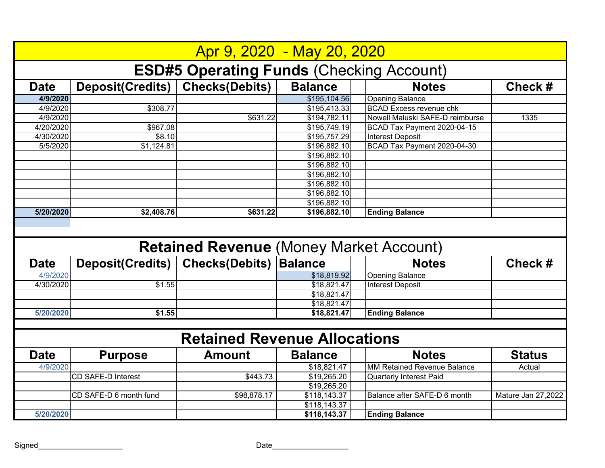|             |                           | Apr 9, 2020 - May 20, 2020                      |                               |                                    |                    |
|-------------|---------------------------|-------------------------------------------------|-------------------------------|------------------------------------|--------------------|
|             |                           | <b>ESD#5 Operating Funds (Checking Account)</b> |                               |                                    |                    |
| <b>Date</b> | Deposit(Credits)          | <b>Checks(Debits)</b>                           | <b>Balance</b>                | <b>Notes</b>                       | Check #            |
| 4/9/2020    |                           |                                                 | \$195,104.56                  | <b>Opening Balance</b>             |                    |
| 4/9/2020    | \$308.77                  |                                                 | \$195,413.33                  | <b>BCAD Excess revenue chk</b>     |                    |
| 4/9/2020    |                           | \$631.22                                        | \$194,782.11                  | Nowell Maluski SAFE-D reimburse    | 1335               |
| 4/20/2020   | \$967.08                  |                                                 | \$195,749.19                  | BCAD Tax Payment 2020-04-15        |                    |
| 4/30/2020   | \$8.10                    |                                                 | \$195,757.29                  | <b>Interest Deposit</b>            |                    |
| 5/5/2020    | \$1,124.81                |                                                 | \$196,882.10                  | BCAD Tax Payment 2020-04-30        |                    |
|             |                           |                                                 | \$196,882.10                  |                                    |                    |
|             |                           |                                                 | \$196,882.10                  |                                    |                    |
|             |                           |                                                 | \$196,882.10                  |                                    |                    |
|             |                           |                                                 | \$196,882.10                  |                                    |                    |
|             |                           |                                                 | \$196,882.10                  |                                    |                    |
|             |                           |                                                 | \$196,882.10                  |                                    |                    |
| 5/20/2020   | \$2,408.76                | \$631.22                                        | \$196,882.10                  | <b>Ending Balance</b>              |                    |
|             |                           | <b>Retained Revenue (Money Market Account)</b>  |                               |                                    |                    |
| <b>Date</b> | <b>Deposit(Credits)</b>   | <b>Checks(Debits)</b>                           | <b>Balance</b>                | <b>Notes</b>                       |                    |
| 4/9/2020    |                           |                                                 |                               |                                    |                    |
|             |                           |                                                 |                               |                                    | Check#             |
|             |                           |                                                 | \$18,819.92                   | <b>Opening Balance</b>             |                    |
| 4/30/2020   | \$1.55                    |                                                 | \$18,821.47                   | <b>Interest Deposit</b>            |                    |
|             |                           |                                                 | \$18,821.47                   |                                    |                    |
|             |                           |                                                 | \$18,821.47                   |                                    |                    |
| 5/20/2020   | \$1.55                    |                                                 | \$18,821.47                   | <b>Ending Balance</b>              |                    |
|             |                           | <b>Retained Revenue Allocations</b>             |                               |                                    |                    |
| <b>Date</b> | <b>Purpose</b>            | <b>Amount</b>                                   | <b>Balance</b>                | <b>Notes</b>                       | <b>Status</b>      |
| 4/9/2020    |                           |                                                 | \$18,821.47                   | <b>MM Retained Revenue Balance</b> | Actual             |
|             | <b>CD SAFE-D Interest</b> | \$443.73                                        | \$19,265.20                   | <b>Quarterly Interest Paid</b>     |                    |
|             |                           |                                                 | \$19,265.20                   |                                    |                    |
|             | CD SAFE-D 6 month fund    | \$98,878.17                                     | \$118,143.37                  | Balance after SAFE-D 6 month       | Mature Jan 27,2022 |
| 5/20/2020   |                           |                                                 | \$118, 143.37<br>\$118,143.37 | <b>Ending Balance</b>              |                    |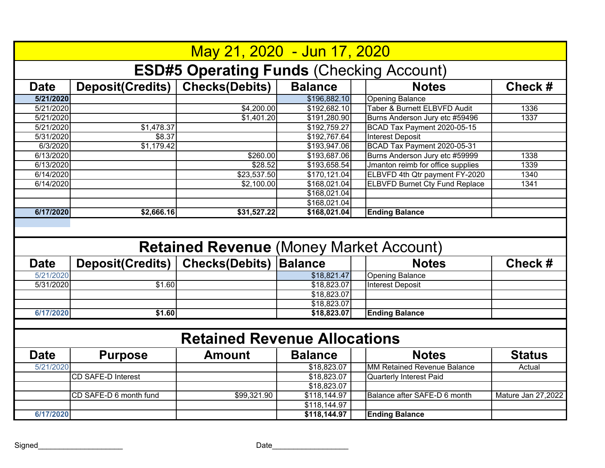|             |                         | May 21, 2020 - Jun 17, 2020                     |                                        |                                       |                    |
|-------------|-------------------------|-------------------------------------------------|----------------------------------------|---------------------------------------|--------------------|
|             |                         | <b>ESD#5 Operating Funds (Checking Account)</b> |                                        |                                       |                    |
| <b>Date</b> | Deposit(Credits)        | <b>Checks(Debits)</b>                           | <b>Balance</b>                         | <b>Notes</b>                          | Check#             |
| 5/21/2020   |                         |                                                 | \$196,882.10                           | <b>Opening Balance</b>                |                    |
| 5/21/2020   |                         | \$4,200.00                                      | \$192,682.10                           | Taber & Burnett ELBVFD Audit          | 1336               |
| 5/21/2020   |                         | \$1,401.20                                      | \$191,280.90                           | Burns Anderson Jury etc #59496        | 1337               |
| 5/21/2020   | \$1,478.37              |                                                 | \$192,759.27                           | BCAD Tax Payment 2020-05-15           |                    |
| 5/31/2020   | \$8.37                  |                                                 | \$192,767.64                           | <b>Interest Deposit</b>               |                    |
| 6/3/2020    | \$1,179.42              |                                                 | \$193,947.06                           | BCAD Tax Payment 2020-05-31           |                    |
| 6/13/2020   |                         | \$260.00                                        | \$193,687.06                           | Burns Anderson Jury etc #59999        | 1338               |
| 6/13/2020   |                         | \$28.52                                         | \$193,658.54                           | Jmanton reimb for office supplies     | 1339               |
| 6/14/2020   |                         | \$23,537.50                                     | \$170,121.04                           | ELBVFD 4th Qtr payment FY-2020        | 1340               |
| 6/14/2020   |                         | \$2,100.00                                      | \$168,021.04                           | <b>ELBVFD Burnet Cty Fund Replace</b> | 1341               |
|             |                         |                                                 | \$168,021.04                           |                                       |                    |
|             |                         |                                                 | \$168,021.04                           |                                       |                    |
| 6/17/2020   | \$2,666.16              | \$31,527.22                                     | \$168,021.04                           | <b>Ending Balance</b>                 |                    |
|             |                         |                                                 |                                        |                                       |                    |
|             |                         | <b>Retained Revenue (Money Market Account)</b>  |                                        |                                       |                    |
| <b>Date</b> | <b>Deposit(Credits)</b> | <b>Checks(Debits)</b>                           | <b>Balance</b>                         | <b>Notes</b>                          | Check#             |
| 5/21/2020   |                         |                                                 | \$18,821.47                            | <b>Opening Balance</b>                |                    |
| 5/31/2020   | \$1.60                  |                                                 | \$18,823.07                            | <b>Interest Deposit</b>               |                    |
|             |                         |                                                 |                                        |                                       |                    |
|             |                         |                                                 | $\overline{$18,823.07}$<br>\$18,823.07 |                                       |                    |
| 6/17/2020   | \$1.60                  |                                                 | \$18,823.07                            | <b>Ending Balance</b>                 |                    |
|             |                         |                                                 |                                        |                                       |                    |
|             |                         | <b>Retained Revenue Allocations</b>             |                                        |                                       |                    |
| <b>Date</b> | <b>Purpose</b>          | <b>Amount</b>                                   | <b>Balance</b>                         | <b>Notes</b>                          | <b>Status</b>      |
| 5/21/2020   |                         |                                                 | \$18,823.07                            | <b>MM Retained Revenue Balance</b>    | Actual             |
|             | CD SAFE-D Interest      |                                                 | \$18,823.07                            | <b>Quarterly Interest Paid</b>        |                    |
|             |                         |                                                 | \$18,823.07                            |                                       |                    |
|             | CD SAFE-D 6 month fund  | \$99,321.90                                     | \$118,144.97                           | Balance after SAFE-D 6 month          | Mature Jan 27,2022 |
| 6/17/2020   |                         |                                                 | \$118,144.97<br>\$118,144.97           | <b>Ending Balance</b>                 |                    |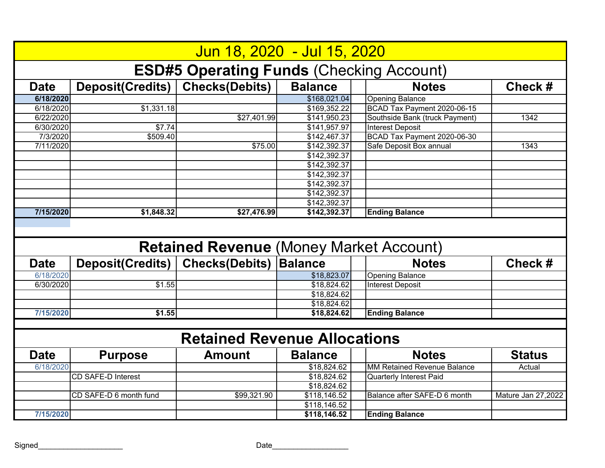|             |                           | Jun 18, 2020 - Jul 15, 2020                     |                              |                                    |                    |
|-------------|---------------------------|-------------------------------------------------|------------------------------|------------------------------------|--------------------|
|             |                           | <b>ESD#5 Operating Funds (Checking Account)</b> |                              |                                    |                    |
| <b>Date</b> | Deposit(Credits)          | <b>Checks(Debits)</b>                           | <b>Balance</b>               | <b>Notes</b>                       | Check #            |
| 6/18/2020   |                           |                                                 | \$168,021.04                 | <b>Opening Balance</b>             |                    |
| 6/18/2020   | \$1,331.18                |                                                 | \$169,352.22                 | BCAD Tax Payment 2020-06-15        |                    |
| 6/22/2020   |                           | \$27,401.99                                     | \$141,950.23                 | Southside Bank (truck Payment)     | 1342               |
| 6/30/2020   | \$7.74                    |                                                 | \$141,957.97                 | <b>Interest Deposit</b>            |                    |
| 7/3/2020    | \$509.40                  |                                                 | \$142,467.37                 | BCAD Tax Payment 2020-06-30        |                    |
| 7/11/2020   |                           | \$75.00                                         | \$142,392.37                 | Safe Deposit Box annual            | 1343               |
|             |                           |                                                 | \$142,392.37                 |                                    |                    |
|             |                           |                                                 | \$142,392.37                 |                                    |                    |
|             |                           |                                                 | \$142,392.37                 |                                    |                    |
|             |                           |                                                 | \$142,392.37                 |                                    |                    |
|             |                           |                                                 | \$142,392.37                 |                                    |                    |
|             |                           |                                                 | \$142,392.37                 |                                    |                    |
| 7/15/2020   | \$1,848.32                | \$27,476.99                                     | \$142,392.37                 | <b>Ending Balance</b>              |                    |
|             |                           |                                                 |                              |                                    |                    |
|             |                           | <b>Retained Revenue (Money Market Account)</b>  |                              |                                    |                    |
| <b>Date</b> | <b>Deposit(Credits)</b>   | <b>Checks(Debits)</b>                           | <b>Balance</b>               | <b>Notes</b>                       | Check#             |
| 6/18/2020   |                           |                                                 | \$18,823.07                  | <b>Opening Balance</b>             |                    |
| 6/30/2020   | \$1.55                    |                                                 | \$18,824.62                  | <b>Interest Deposit</b>            |                    |
|             |                           |                                                 | \$18,824.62                  |                                    |                    |
|             |                           |                                                 | \$18,824.62                  |                                    |                    |
| 7/15/2020   | \$1.55                    |                                                 | \$18,824.62                  | <b>Ending Balance</b>              |                    |
|             |                           |                                                 |                              |                                    |                    |
|             |                           | <b>Retained Revenue Allocations</b>             |                              |                                    |                    |
| <b>Date</b> | <b>Purpose</b>            | <b>Amount</b>                                   | <b>Balance</b>               | <b>Notes</b>                       | <b>Status</b>      |
| 6/18/2020   |                           |                                                 | \$18,824.62                  | <b>MM Retained Revenue Balance</b> | Actual             |
|             | <b>CD SAFE-D Interest</b> |                                                 | \$18,824.62                  | <b>Quarterly Interest Paid</b>     |                    |
|             |                           |                                                 | \$18,824.62                  |                                    |                    |
|             | CD SAFE-D 6 month fund    | \$99,321.90                                     | \$118,146.52                 | Balance after SAFE-D 6 month       | Mature Jan 27,2022 |
| 7/15/2020   |                           |                                                 | \$118,146.52<br>\$118,146.52 | <b>Ending Balance</b>              |                    |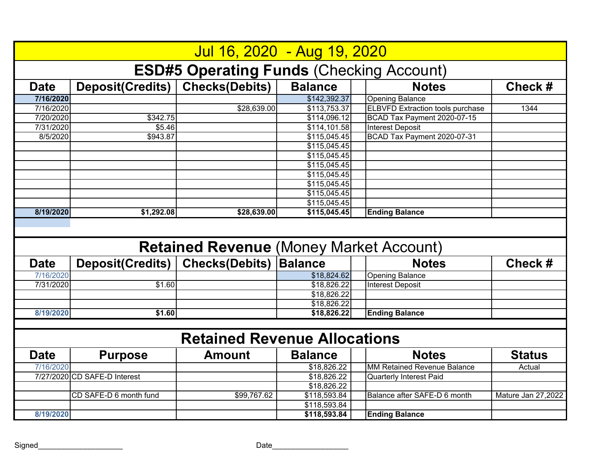|             |                              | Jul 16, 2020 - Aug 19, 2020                     |                |                                         |                    |
|-------------|------------------------------|-------------------------------------------------|----------------|-----------------------------------------|--------------------|
|             |                              | <b>ESD#5 Operating Funds (Checking Account)</b> |                |                                         |                    |
| <b>Date</b> | Deposit(Credits)             | <b>Checks(Debits)</b>                           | <b>Balance</b> | <b>Notes</b>                            | Check#             |
| 7/16/2020   |                              |                                                 | \$142,392.37   | <b>Opening Balance</b>                  |                    |
| 7/16/2020   |                              | \$28,639.00                                     | \$113,753.37   | <b>ELBVFD Extraction tools purchase</b> | 1344               |
| 7/20/2020   | \$342.75                     |                                                 | \$114,096.12   | BCAD Tax Payment 2020-07-15             |                    |
| 7/31/2020   | \$5.46                       |                                                 | \$114,101.58   | <b>Interest Deposit</b>                 |                    |
| 8/5/2020    | \$943.87                     |                                                 | \$115,045.45   | BCAD Tax Payment 2020-07-31             |                    |
|             |                              |                                                 | \$115,045.45   |                                         |                    |
|             |                              |                                                 | \$115,045.45   |                                         |                    |
|             |                              |                                                 | \$115,045.45   |                                         |                    |
|             |                              |                                                 | \$115,045.45   |                                         |                    |
|             |                              |                                                 | \$115,045.45   |                                         |                    |
|             |                              |                                                 | \$115,045.45   |                                         |                    |
|             |                              |                                                 | \$115,045.45   |                                         |                    |
| 8/19/2020   | \$1,292.08                   | \$28,639.00                                     | \$115,045.45   | <b>Ending Balance</b>                   |                    |
|             |                              | <b>Retained Revenue (Money Market Account)</b>  |                |                                         |                    |
|             |                              |                                                 |                |                                         |                    |
| <b>Date</b> |                              |                                                 | <b>Balance</b> | <b>Notes</b>                            | Check#             |
|             | <b>Deposit(Credits)</b>      | <b>Checks(Debits)</b>                           |                |                                         |                    |
| 7/16/2020   |                              |                                                 | \$18,824.62    | <b>Opening Balance</b>                  |                    |
| 7/31/2020   | \$1.60                       |                                                 | \$18,826.22    | <b>Interest Deposit</b>                 |                    |
|             |                              |                                                 | \$18,826.22    |                                         |                    |
|             |                              |                                                 | \$18,826.22    |                                         |                    |
| 8/19/2020   | \$1.60                       |                                                 | \$18,826.22    | <b>Ending Balance</b>                   |                    |
|             |                              | <b>Retained Revenue Allocations</b>             |                |                                         |                    |
| <b>Date</b> | <b>Purpose</b>               | <b>Amount</b>                                   | <b>Balance</b> | <b>Notes</b>                            | <b>Status</b>      |
| 7/16/2020   |                              |                                                 | \$18,826.22    | <b>MM Retained Revenue Balance</b>      | Actual             |
|             | 7/27/2020 CD SAFE-D Interest |                                                 | \$18,826.22    | <b>Quarterly Interest Paid</b>          |                    |
|             |                              |                                                 | \$18,826.22    |                                         |                    |
|             | CD SAFE-D 6 month fund       | \$99,767.62                                     | \$118,593.84   | Balance after SAFE-D 6 month            | Mature Jan 27,2022 |
|             |                              |                                                 | \$118,593.84   |                                         |                    |